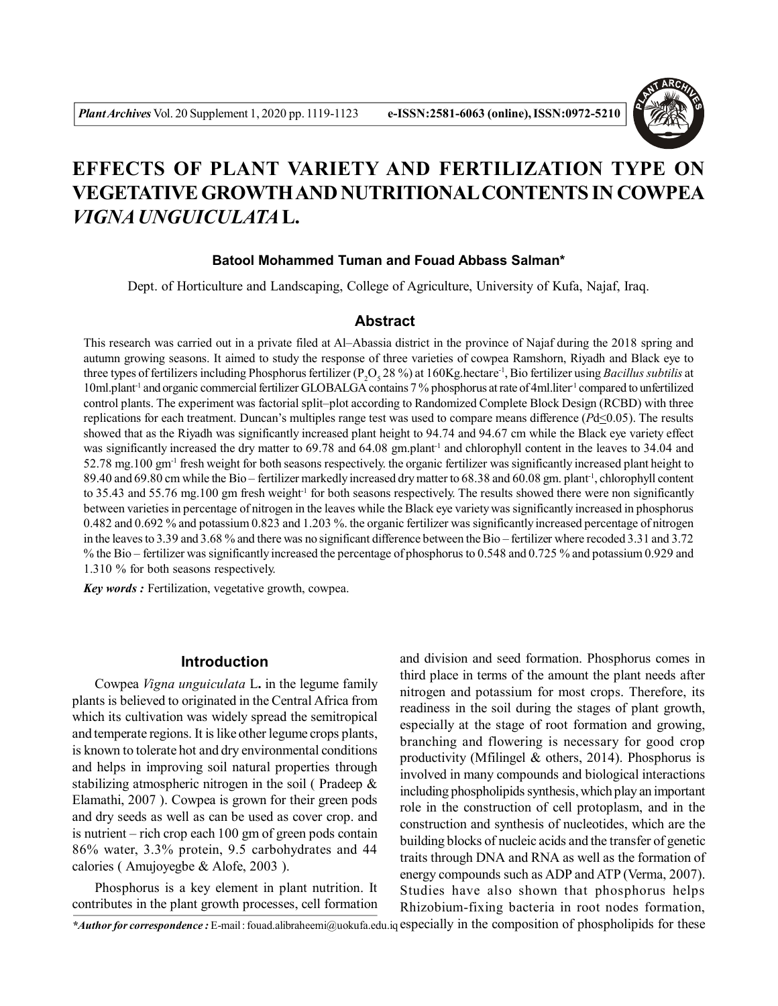

# **EFFECTS OF PLANT VARIETY AND FERTILIZATION TYPE ON VEGETATIVE GROWTH AND NUTRITIONAL CONTENTS IN COWPEA** *VIGNA UNGUICULATA***L.**

## **Batool Mohammed Tuman and Fouad Abbass Salman\***

Dept. of Horticulture and Landscaping, College of Agriculture, University of Kufa, Najaf, Iraq.

## **Abstract**

This research was carried out in a private filed at Al–Abassia district in the province of Najaf during the 2018 spring and autumn growing seasons. It aimed to study the response of three varieties of cowpea Ramshorn, Riyadh and Black eye to three types of fertilizers including Phosphorus fertilizer (P<sub>2</sub>O<sub>5</sub> 28 %) at 160Kg.hectare<sup>-1</sup>, Bio fertilizer using *Bacillus subtilis* at 10ml.plant-1 and organic commercial fertilizer GLOBALGA contains 7 % phosphorus at rate of 4ml.liter-1 compared to unfertilized control plants. The experiment was factorial split–plot according to Randomized Complete Block Design (RCBD) with three replications for each treatment. Duncan's multiples range test was used to compare means difference (*P*d<0.05). The results showed that as the Riyadh was significantly increased plant height to 94.74 and 94.67 cm while the Black eye variety effect was significantly increased the dry matter to 69.78 and 64.08 gm.plant<sup>-1</sup> and chlorophyll content in the leaves to 34.04 and 52.78 mg.100 gm-1 fresh weight for both seasons respectively. the organic fertilizer was significantly increased plant height to 89.40 and 69.80 cm while the Bio – fertilizer markedly increased dry matter to 68.38 and 60.08 gm. plant<sup>-1</sup>, chlorophyll content to 35.43 and 55.76 mg.100 gm fresh weight<sup>-1</sup> for both seasons respectively. The results showed there were non significantly between varieties in percentage of nitrogen in the leaves while the Black eye variety was significantly increased in phosphorus 0.482 and 0.692 % and potassium 0.823 and 1.203 %. the organic fertilizer was significantly increased percentage of nitrogen in the leaves to 3.39 and 3.68 % and there was no significant difference between the Bio – fertilizer where recoded 3.31 and 3.72 % the Bio – fertilizer was significantly increased the percentage of phosphorus to 0.548 and 0.725 % and potassium 0.929 and 1.310 % for both seasons respectively.

*Key words :* Fertilization, vegetative growth, cowpea.

## **Introduction**

Cowpea *Vigna unguiculata* L**.** in the legume family plants is believed to originated in the Central Africa from which its cultivation was widely spread the semitropical and temperate regions. It is like other legume crops plants, is known to tolerate hot and dry environmental conditions and helps in improving soil natural properties through stabilizing atmospheric nitrogen in the soil ( Pradeep & Elamathi, 2007 ). Cowpea is grown for their green pods and dry seeds as well as can be used as cover crop. and is nutrient – rich crop each 100 gm of green pods contain 86% water, 3.3% protein, 9.5 carbohydrates and 44 calories ( Amujoyegbe & Alofe, 2003 ).

Phosphorus is a key element in plant nutrition. It contributes in the plant growth processes, cell formation and division and seed formation. Phosphorus comes in third place in terms of the amount the plant needs after nitrogen and potassium for most crops. Therefore, its readiness in the soil during the stages of plant growth, especially at the stage of root formation and growing, branching and flowering is necessary for good crop productivity (Mfilingel & others, 2014). Phosphorus is involved in many compounds and biological interactions including phospholipids synthesis, which play an important role in the construction of cell protoplasm, and in the construction and synthesis of nucleotides, which are the building blocks of nucleic acids and the transfer of genetic traits through DNA and RNA as well as the formation of energy compounds such as ADP and ATP (Verma, 2007). Studies have also shown that phosphorus helps Rhizobium-fixing bacteria in root nodes formation,

*\*Author for correspondence :* E-mail : fouad.alibraheemi@uokufa.edu.iq especially in the composition of phospholipids for these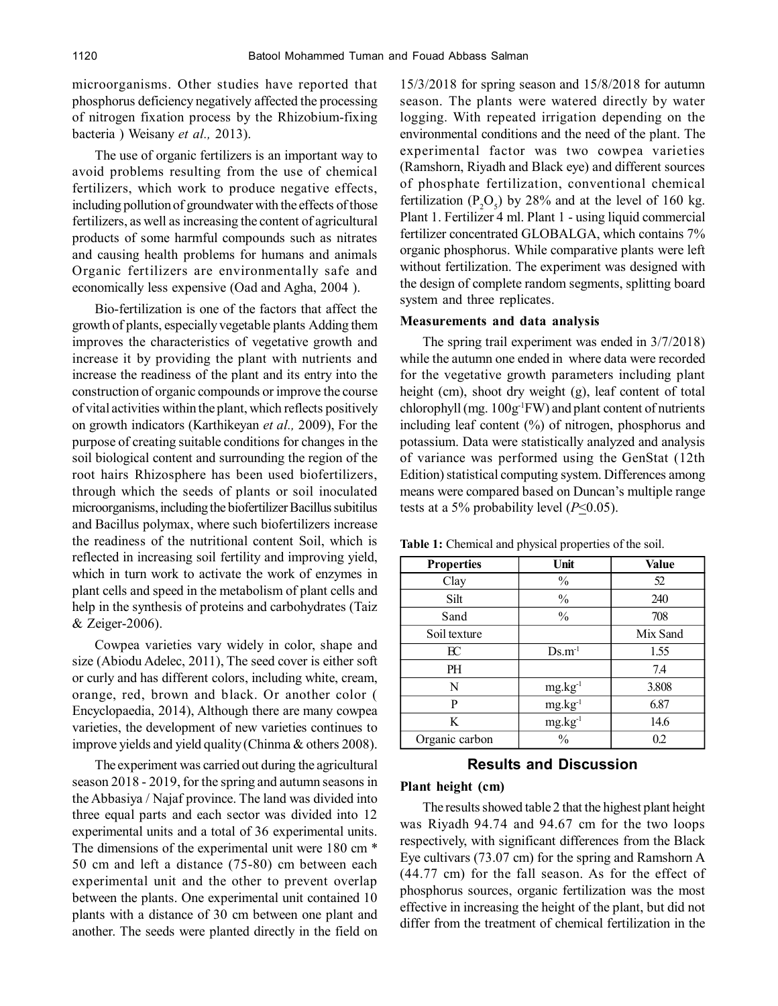microorganisms. Other studies have reported that phosphorus deficiency negatively affected the processing of nitrogen fixation process by the Rhizobium-fixing bacteria ) Weisany *et al.,* 2013).

The use of organic fertilizers is an important way to avoid problems resulting from the use of chemical fertilizers, which work to produce negative effects, including pollution of groundwater with the effects of those fertilizers, as well as increasing the content of agricultural products of some harmful compounds such as nitrates and causing health problems for humans and animals Organic fertilizers are environmentally safe and economically less expensive (Oad and Agha, 2004 ).

Bio-fertilization is one of the factors that affect the growth of plants, especially vegetable plants Adding them improves the characteristics of vegetative growth and increase it by providing the plant with nutrients and increase the readiness of the plant and its entry into the construction of organic compounds or improve the course of vital activities within the plant, which reflects positively on growth indicators (Karthikeyan *et al.,* 2009), For the purpose of creating suitable conditions for changes in the soil biological content and surrounding the region of the root hairs Rhizosphere has been used biofertilizers, through which the seeds of plants or soil inoculated microorganisms, including the biofertilizer Bacillus subitilus and Bacillus polymax, where such biofertilizers increase the readiness of the nutritional content Soil, which is reflected in increasing soil fertility and improving yield, which in turn work to activate the work of enzymes in plant cells and speed in the metabolism of plant cells and help in the synthesis of proteins and carbohydrates (Taiz & Zeiger-2006).

Cowpea varieties vary widely in color, shape and size (Abiodu Adelec, 2011), The seed cover is either soft or curly and has different colors, including white, cream, orange, red, brown and black. Or another color ( Encyclopaedia, 2014), Although there are many cowpea varieties, the development of new varieties continues to improve yields and yield quality (Chinma & others 2008).

The experiment was carried out during the agricultural season 2018 - 2019, for the spring and autumn seasons in the Abbasiya / Najaf province. The land was divided into three equal parts and each sector was divided into 12 experimental units and a total of 36 experimental units. The dimensions of the experimental unit were 180 cm \* 50 cm and left a distance (75-80) cm between each experimental unit and the other to prevent overlap between the plants. One experimental unit contained 10 plants with a distance of 30 cm between one plant and another. The seeds were planted directly in the field on 15/3/2018 for spring season and 15/8/2018 for autumn season. The plants were watered directly by water logging. With repeated irrigation depending on the environmental conditions and the need of the plant. The experimental factor was two cowpea varieties (Ramshorn, Riyadh and Black eye) and different sources of phosphate fertilization, conventional chemical fertilization ( $P_2O_5$ ) by 28% and at the level of 160 kg. Plant 1. Fertilizer 4 ml. Plant 1 - using liquid commercial fertilizer concentrated GLOBALGA, which contains 7% organic phosphorus. While comparative plants were left without fertilization. The experiment was designed with the design of complete random segments, splitting board system and three replicates.

#### **Measurements and data analysis**

The spring trail experiment was ended in 3/7/2018) while the autumn one ended in where data were recorded for the vegetative growth parameters including plant height (cm), shoot dry weight (g), leaf content of total chlorophyll (mg. 100g-1FW) and plant content of nutrients including leaf content (%) of nitrogen, phosphorus and potassium. Data were statistically analyzed and analysis of variance was performed using the GenStat (12th Edition) statistical computing system. Differences among means were compared based on Duncan's multiple range tests at a 5% probability level  $(P \le 0.05)$ .

| Table 1: Chemical and physical properties of the soil. |  |
|--------------------------------------------------------|--|
|--------------------------------------------------------|--|

| <b>Properties</b> | Unit          | <b>Value</b> |
|-------------------|---------------|--------------|
| Clay              | $\%$          | 52           |
| Silt              | $\%$          | 240          |
| Sand              | $\frac{0}{0}$ | 708          |
| Soil texture      |               | Mix Sand     |
| $_{\rm EC}$       | $Ds.m^{-1}$   | 1.55         |
| PH                |               | 7.4          |
| N                 | $mg.kg^{-1}$  | 3.808        |
| P                 | $mg.kg^{-1}$  | 6.87         |
| K                 | $mg.kg^{-1}$  | 14.6         |
| Organic carbon    | $\frac{0}{0}$ | 0.2          |

# **Results and Discussion**

#### **Plant height (cm)**

The results showed table 2 that the highest plant height was Riyadh 94.74 and 94.67 cm for the two loops respectively, with significant differences from the Black Eye cultivars (73.07 cm) for the spring and Ramshorn A (44.77 cm) for the fall season. As for the effect of phosphorus sources, organic fertilization was the most effective in increasing the height of the plant, but did not differ from the treatment of chemical fertilization in the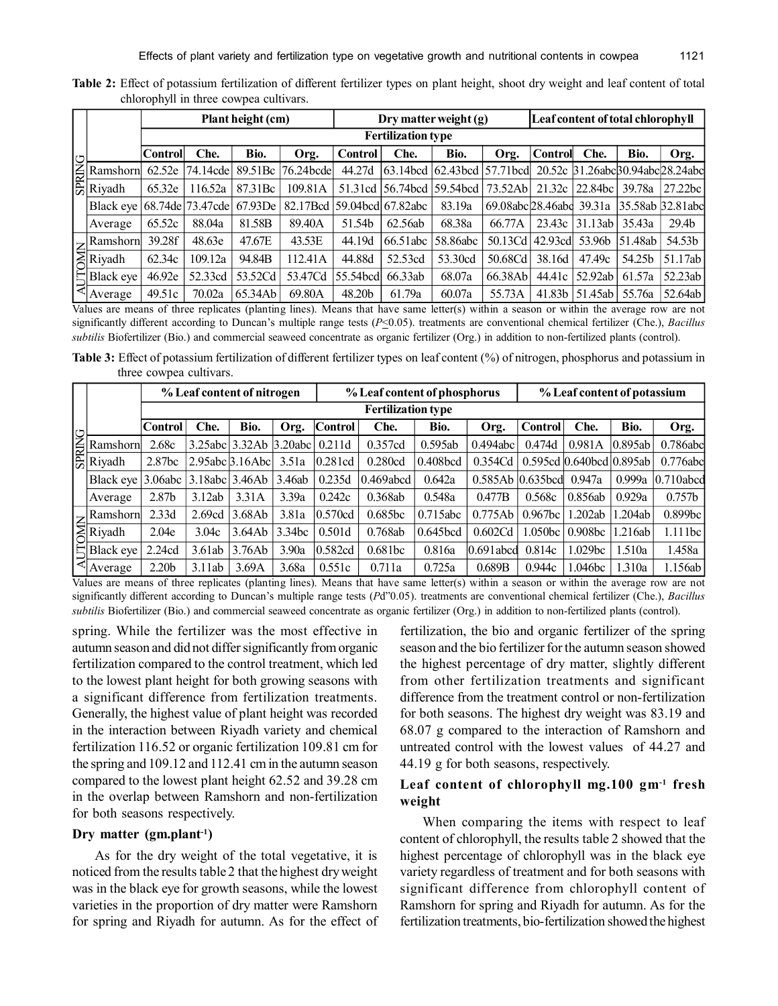|            |                                                                                                                                                                                                                                                                                                    |                           |                    | Plant height (cm) |              | Dry matter weight (g) |                    |                                     |                                          | Leaf content of total chlorophyll |                                 |          |                   |  |
|------------|----------------------------------------------------------------------------------------------------------------------------------------------------------------------------------------------------------------------------------------------------------------------------------------------------|---------------------------|--------------------|-------------------|--------------|-----------------------|--------------------|-------------------------------------|------------------------------------------|-----------------------------------|---------------------------------|----------|-------------------|--|
|            |                                                                                                                                                                                                                                                                                                    | <b>Fertilization type</b> |                    |                   |              |                       |                    |                                     |                                          |                                   |                                 |          |                   |  |
| ヒ          |                                                                                                                                                                                                                                                                                                    | <b>Control</b>            | Che.               | Bio.              | Org.         | <b>Control</b>        | Che.               | Bio.                                | Org.                                     | <b>Control</b>                    | Che.                            | Bio.     | Org.              |  |
|            | Ramshorn                                                                                                                                                                                                                                                                                           | 62.52e                    | 74.14cde           | 89.51Bc           | $76.24$ bcde | 44.27d                |                    | $63.14$ bcd $62.43$ bcd $57.71$ bcd |                                          |                                   | 20.52c 31.26abcB0.94abc28.24abc |          |                   |  |
|            | $\frac{Z}{Z}$ Ramsho<br>$Z$ Riyadh                                                                                                                                                                                                                                                                 | 65.32e                    | 116.52a            | 87.31Bc           | 109.81A      |                       | 51.31cd 56.74bcd   | 59.54bcd                            | 73.52Ab                                  | 21.32c                            | 22.84bc                         | 39.78a   | $27.22$ bc        |  |
|            | Black eve                                                                                                                                                                                                                                                                                          |                           | 68.74de   73.47cde | 67.93De           | 82.17Bcd     |                       | 59.04bcdl 67.82abc | 83.19a                              | 69.08abc28.46abc 39.31a 35.58ab 32.81abc |                                   |                                 |          |                   |  |
|            | Average                                                                                                                                                                                                                                                                                            | 65.52c                    | 88.04a             | 81.58B            | 89.40A       | 51.54b                | 62.56ab            | 68.38a                              | 66.77A                                   | 23.43c                            | 31.13ab 35.43a                  |          | 29.4 <sub>b</sub> |  |
|            |                                                                                                                                                                                                                                                                                                    | 39.28f                    | 48.63e             | 47.67E            | 43.53E       | 44.19d                | 66.51 abc          | 58.86abc                            | 50.13Cd                                  | 42.93cd                           | 53.96b                          | 151.48ab | 54.53b            |  |
|            | $\sum_{k=1}^{\infty} \frac{Ramshorn}{Riyadh}$                                                                                                                                                                                                                                                      | 62.34c                    | 109.12a            | 94.84B            | 112.41A      | 44.88d                | 52.53cd            | 53.30cd                             | 50.68Cd                                  | 38.16d                            | 47.49c                          | 54.25b   | 51.17ab           |  |
| <b>AUT</b> | Black eve                                                                                                                                                                                                                                                                                          | 46.92e                    | 52.33cd            | 53.52Cd           | 53.47Cd      | 55.54bcd              | 66.33ab            | 68.07a                              | 66.38Ab                                  | 44.41c                            | 52.92ab                         | 61.57a   | 52.23ab           |  |
|            | Average                                                                                                                                                                                                                                                                                            | 49.51c                    | 70.02a             | 65.34Ab           | 69.80A       | 48.20b                | 61.79a             | 60.07a                              | 55.73A                                   | 41.83b                            | 51.45ab   55.76a                |          | 52.64ab           |  |
|            |                                                                                                                                                                                                                                                                                                    |                           |                    |                   |              |                       |                    |                                     |                                          |                                   |                                 |          |                   |  |
|            | Values are means of three replicates (planting lines). Means that have same letter(s) within a season or within the average row are not<br>significantly different according to Duncan's multiple range tests $(P<0.05)$ , treatments are conventional chemical fertilizer (Che.), <i>Bacillus</i> |                           |                    |                   |              |                       |                    |                                     |                                          |                                   |                                 |          |                   |  |
|            | subtilis Biofertilizer (Bio.) and commercial seaweed concentrate as organic fertilizer (Org.) in addition to non-fertilized plants (control).                                                                                                                                                      |                           |                    |                   |              |                       |                    |                                     |                                          |                                   |                                 |          |                   |  |

**Table 2:** Effect of potassium fertilization of different fertilizer types on plant height, shoot dry weight and leaf content of total chlorophyll in three cowpea cultivars.

**Table 3:** Effect of potassium fertilization of different fertilizer types on leaf content (%) of nitrogen, phosphorus and potassium in three cowpea cultivars.

|                                                                                                                                                          |                           | % Leaf content of nitrogen |                        |        | % Leaf content of phosphorus |           |             |                        | % Leaf content of potassium |                          |         |                    |  |
|----------------------------------------------------------------------------------------------------------------------------------------------------------|---------------------------|----------------------------|------------------------|--------|------------------------------|-----------|-------------|------------------------|-----------------------------|--------------------------|---------|--------------------|--|
|                                                                                                                                                          | <b>Fertilization type</b> |                            |                        |        |                              |           |             |                        |                             |                          |         |                    |  |
|                                                                                                                                                          | <b>Control</b>            | Che.                       | Bio.                   | Org.   | $\lfloor$ Control            | Che.      | Bio.        | Org.                   | <b>Control</b>              | Che.                     | Bio.    | Org.               |  |
| $\begin{array}{c}\n\heartsuit \\ \hline\n\heartsuit \\ \hline\n\heartsuit \\ \hline\n\heartsuit\n\end{array}$ Ramsho<br>Ramshorn                         | 2.68c                     |                            | 3.25abc 3.32Ab 3.20abc |        | 0.211d                       | 0.357cd   | 0.595ab     | 0.494abc               | 0.474d                      | 0.981A                   | 0.895ab | 0.786abc           |  |
|                                                                                                                                                          | 2.87 <sub>bc</sub>        |                            | $2.95abc$ $3.16Abc$    | 3.51a  | 0.281cd                      | 0.280cd   | 0.408bcd    | 0.354Cd                |                             | 0.595cd 0.640bcd 0.895ab |         | 0.776abc           |  |
| Black eve                                                                                                                                                | 3.06abc                   | 3.18abc 3.46Ab             |                        | 3.46ab | 0.235d                       | 0.469abcd | 0.642a      | $0.585Ab$ $ 0.635bcd $ |                             | 0.947a                   | 0.999a  | $ 0.710$ abcd      |  |
| Average                                                                                                                                                  | 2.87 <sub>b</sub>         | 3.12ab                     | 3.31A                  | 3.39a  | 0.242c                       | 0.368ab   | 0.548a      | 0.477B                 | 0.568c                      | 0.856ab                  | 0.929a  | 0.757 <sub>b</sub> |  |
|                                                                                                                                                          | 2.33d                     | 2.69cd                     | 3.68Ab                 | 3.81a  | 0.570cd                      | 0.685bc   | 0.715abc    | 0.775Ab                | 0.967 <sub>bc</sub>         | 1.202ab                  | 1.204ab | 0.899bc            |  |
| $\sum_{n=1}^{\infty}$ Ramshorn                                                                                                                           | 2.04e                     | 3.04c                      | 3.64Ab                 | 3.34bc | 0.501d                       | 0.768ab   | $0.645$ bcd | 0.602 <sub>cd</sub>    | 1.050 <sub>bc</sub>         | 0.908 <sub>b</sub>       | 1.216ab | 1.111bc            |  |
| Black eye                                                                                                                                                | 2.24cd                    | 3.61ab                     | 3.76Ab                 | 3.90a  | 0.582cd                      | 0.681bc   | 0.816a      | $0.691$ abcd           | 0.814c                      | 1.029 <sub>bc</sub>      | 1.510a  | 1.458a             |  |
| Average                                                                                                                                                  | 2.20 <sub>b</sub>         | 3.11ab                     | 3.69A                  | 3.68a  | 0.551c                       | 0.711a    | 0.725a      | 0.689B                 | 0.944c                      | 1.046bc                  | 1.310a  | 1.156ab            |  |
| Values are means of three replicates (planting lines). Means that have same letter(s) within a season or within the average row are not                  |                           |                            |                        |        |                              |           |             |                        |                             |                          |         |                    |  |
| significantly different according to Duncan's multiple range tests $(Pd"0.05)$ , treatments are conventional chemical fertilizer (Che.), <i>Bacillus</i> |                           |                            |                        |        |                              |           |             |                        |                             |                          |         |                    |  |
| subtilis Biofertilizer (Bio.) and commercial seaweed concentrate as organic fertilizer (Org.) in addition to non-fertilized plants (control).            |                           |                            |                        |        |                              |           |             |                        |                             |                          |         |                    |  |

spring. While the fertilizer was the most effective in autumn season and did not differ significantly from organic fertilization compared to the control treatment, which led to the lowest plant height for both growing seasons with a significant difference from fertilization treatments. Generally, the highest value of plant height was recorded in the interaction between Riyadh variety and chemical fertilization 116.52 or organic fertilization 109.81 cm for the spring and 109.12 and 112.41 cm in the autumn season compared to the lowest plant height 62.52 and 39.28 cm in the overlap between Ramshorn and non-fertilization for both seasons respectively.

#### **Dry matter (gm.plant-1)**

As for the dry weight of the total vegetative, it is noticed from the results table 2 that the highest dry weight was in the black eye for growth seasons, while the lowest varieties in the proportion of dry matter were Ramshorn for spring and Riyadh for autumn. As for the effect of fertilization, the bio and organic fertilizer of the spring season and the bio fertilizer for the autumn season showed the highest percentage of dry matter, slightly different from other fertilization treatments and significant difference from the treatment control or non-fertilization for both seasons. The highest dry weight was 83.19 and 68.07 g compared to the interaction of Ramshorn and untreated control with the lowest values of 44.27 and 44.19 g for both seasons, respectively.

# **Leaf content of chlorophyll mg.100 gm-1 fresh weight**

When comparing the items with respect to leaf content of chlorophyll, the results table 2 showed that the highest percentage of chlorophyll was in the black eye variety regardless of treatment and for both seasons with significant difference from chlorophyll content of Ramshorn for spring and Riyadh for autumn. As for the fertilization treatments, bio-fertilization showed the highest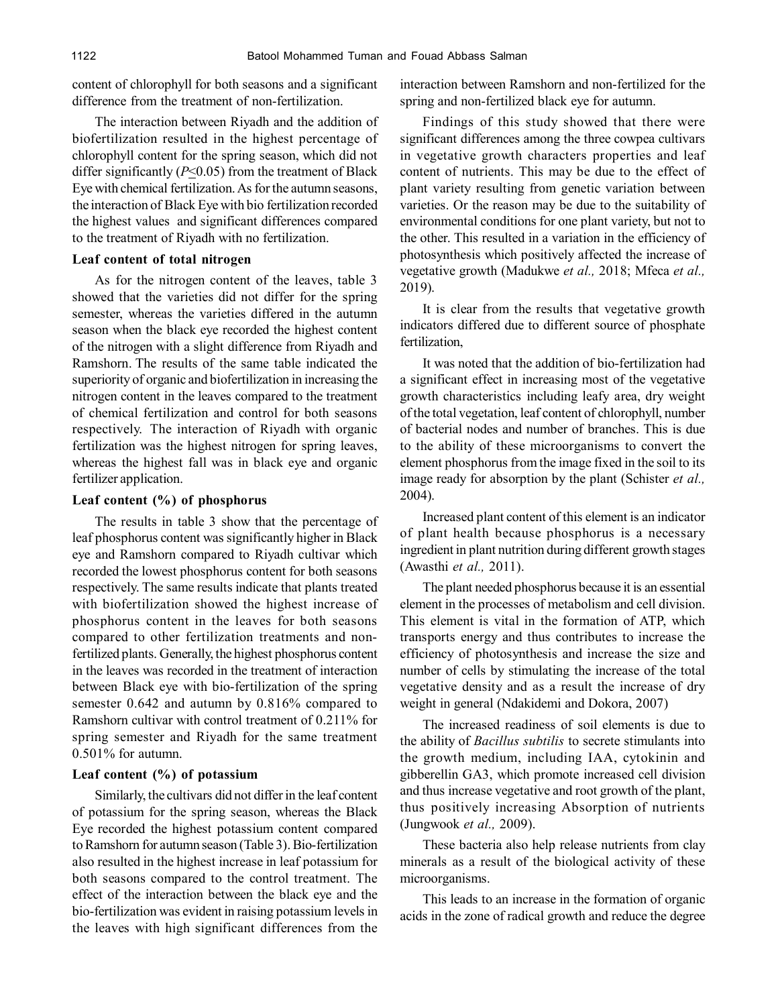content of chlorophyll for both seasons and a significant difference from the treatment of non-fertilization.

The interaction between Riyadh and the addition of biofertilization resulted in the highest percentage of chlorophyll content for the spring season, which did not differ significantly  $(P \le 0.05)$  from the treatment of Black Eye with chemical fertilization. As for the autumn seasons, the interaction of Black Eye with bio fertilization recorded the highest values and significant differences compared to the treatment of Riyadh with no fertilization.

#### **Leaf content of total nitrogen**

As for the nitrogen content of the leaves, table 3 showed that the varieties did not differ for the spring semester, whereas the varieties differed in the autumn season when the black eye recorded the highest content of the nitrogen with a slight difference from Riyadh and Ramshorn. The results of the same table indicated the superiority of organic and biofertilization in increasing the nitrogen content in the leaves compared to the treatment of chemical fertilization and control for both seasons respectively. The interaction of Riyadh with organic fertilization was the highest nitrogen for spring leaves, whereas the highest fall was in black eye and organic fertilizer application.

#### **Leaf content (%) of phosphorus**

The results in table 3 show that the percentage of leaf phosphorus content was significantly higher in Black eye and Ramshorn compared to Riyadh cultivar which recorded the lowest phosphorus content for both seasons respectively. The same results indicate that plants treated with biofertilization showed the highest increase of phosphorus content in the leaves for both seasons compared to other fertilization treatments and nonfertilized plants. Generally, the highest phosphorus content in the leaves was recorded in the treatment of interaction between Black eye with bio-fertilization of the spring semester 0.642 and autumn by 0.816% compared to Ramshorn cultivar with control treatment of 0.211% for spring semester and Riyadh for the same treatment 0.501% for autumn.

## **Leaf content (%) of potassium**

Similarly, the cultivars did not differ in the leaf content of potassium for the spring season, whereas the Black Eye recorded the highest potassium content compared to Ramshorn for autumn season (Table 3). Bio-fertilization also resulted in the highest increase in leaf potassium for both seasons compared to the control treatment. The effect of the interaction between the black eye and the bio-fertilization was evident in raising potassium levels in the leaves with high significant differences from the

interaction between Ramshorn and non-fertilized for the spring and non-fertilized black eye for autumn.

Findings of this study showed that there were significant differences among the three cowpea cultivars in vegetative growth characters properties and leaf content of nutrients. This may be due to the effect of plant variety resulting from genetic variation between varieties. Or the reason may be due to the suitability of environmental conditions for one plant variety, but not to the other. This resulted in a variation in the efficiency of photosynthesis which positively affected the increase of vegetative growth (Madukwe *et al.,* 2018; Mfeca *et al.,* 2019).

It is clear from the results that vegetative growth indicators differed due to different source of phosphate fertilization,

It was noted that the addition of bio-fertilization had a significant effect in increasing most of the vegetative growth characteristics including leafy area, dry weight of the total vegetation, leaf content of chlorophyll, number of bacterial nodes and number of branches. This is due to the ability of these microorganisms to convert the element phosphorus from the image fixed in the soil to its image ready for absorption by the plant (Schister *et al.,* 2004).

Increased plant content of this element is an indicator of plant health because phosphorus is a necessary ingredient in plant nutrition during different growth stages (Awasthi *et al.,* 2011).

The plant needed phosphorus because it is an essential element in the processes of metabolism and cell division. This element is vital in the formation of ATP, which transports energy and thus contributes to increase the efficiency of photosynthesis and increase the size and number of cells by stimulating the increase of the total vegetative density and as a result the increase of dry weight in general (Ndakidemi and Dokora, 2007)

The increased readiness of soil elements is due to the ability of *Bacillus subtilis* to secrete stimulants into the growth medium, including IAA, cytokinin and gibberellin GA3, which promote increased cell division and thus increase vegetative and root growth of the plant, thus positively increasing Absorption of nutrients (Jungwook *et al.,* 2009).

These bacteria also help release nutrients from clay minerals as a result of the biological activity of these microorganisms.

This leads to an increase in the formation of organic acids in the zone of radical growth and reduce the degree